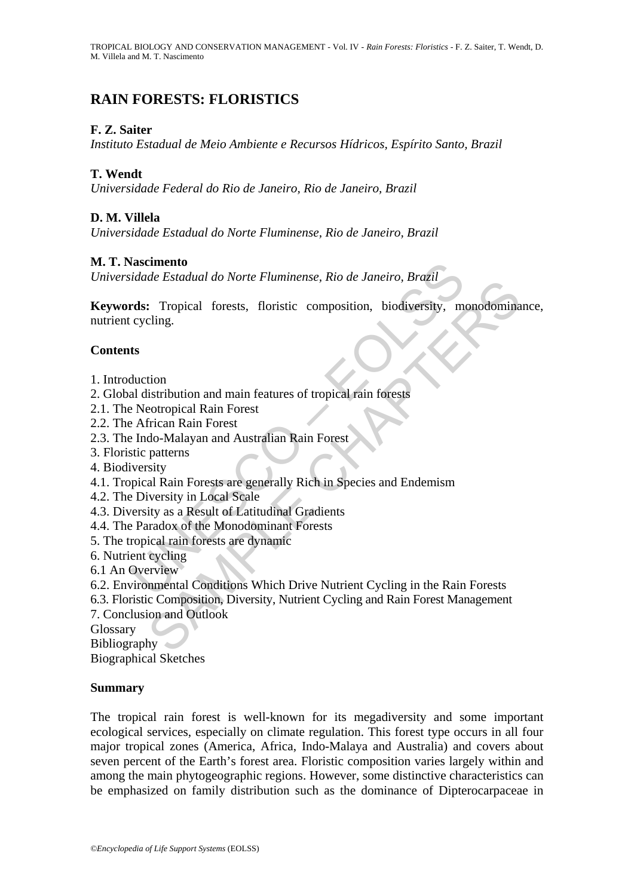# **RAIN FORESTS: FLORISTICS**

### **F. Z. Saiter**

*Instituto Estadual de Meio Ambiente e Recursos Hídricos, Espírito Santo, Brazil* 

#### **T. Wendt**

*Universidade Federal do Rio de Janeiro, Rio de Janeiro, Brazil* 

### **D. M. Villela**

*Universidade Estadual do Norte Fluminense, Rio de Janeiro, Brazil* 

#### **M. T. Nascimento**

*Universidade Estadual do Norte Fluminense, Rio de Janeiro, Brazil* 

**Example 16**<br> **Example 16**<br> **Example 16**<br> **Example 16**<br> **Example 16**<br> **Example 16**<br> **Example 16**<br> **Example 16**<br> **Example 16**<br> **Example 16**<br> **Example 16**<br> **Example 16**<br> **Example 16**<br> **Example 16**<br> **Example 16**<br> **Example 16** Examination of the Friemmerist, No de Julietic, Brazilietical<br>
Strongle Christic Composition, biodiversity, monodomina<br>
eling.<br>
Stription and main features of tropical rain forests<br>
potropical Rain Forest<br>
frican Rain Fore **Keywords:** Tropical forests, floristic composition, biodiversity, monodominance, nutrient cycling.

#### **Contents**

- 1. Introduction
- 2. Global distribution and main features of tropical rain forests
- 2.1. The Neotropical Rain Forest
- 2.2. The African Rain Forest
- 2.3. The Indo-Malayan and Australian Rain Forest
- 3. Floristic patterns
- 4. Biodiversity
- 4.1. Tropical Rain Forests are generally Rich in Species and Endemism
- 4.2. The Diversity in Local Scale
- 4.3. Diversity as a Result of Latitudinal Gradients
- 4.4. The Paradox of the Monodominant Forests
- 5. The tropical rain forests are dynamic
- 6. Nutrient cycling
- 6.1 An Overview
- 6.2. Environmental Conditions Which Drive Nutrient Cycling in the Rain Forests
- 6.3. Floristic Composition, Diversity, Nutrient Cycling and Rain Forest Management
- 7. Conclusion and Outlook
- Glossary

Bibliography

Biographical Sketches

#### **Summary**

The tropical rain forest is well-known for its megadiversity and some important ecological services, especially on climate regulation. This forest type occurs in all four major tropical zones (America, Africa, Indo-Malaya and Australia) and covers about seven percent of the Earth's forest area. Floristic composition varies largely within and among the main phytogeographic regions. However, some distinctive characteristics can be emphasized on family distribution such as the dominance of Dipterocarpaceae in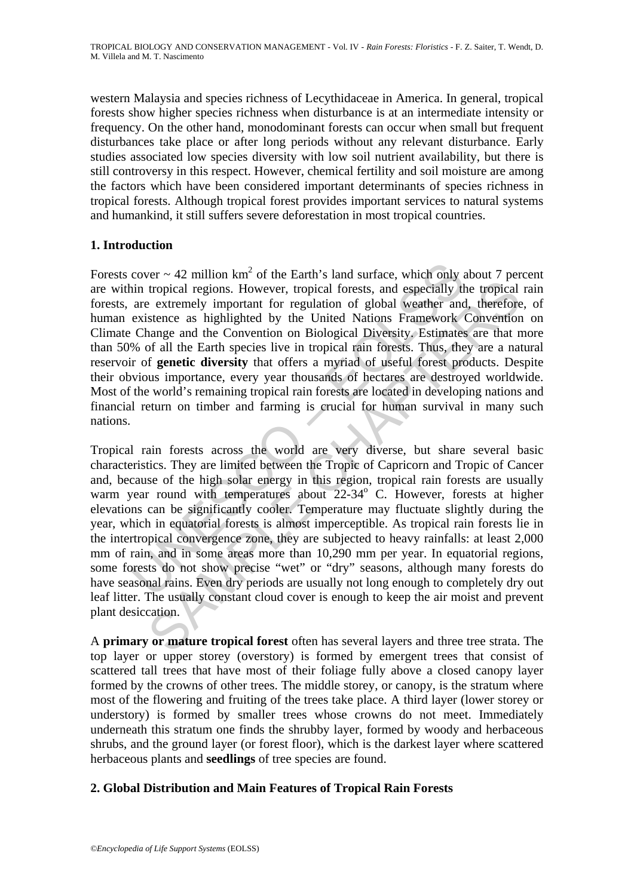western Malaysia and species richness of Lecythidaceae in America. In general, tropical forests show higher species richness when disturbance is at an intermediate intensity or frequency. On the other hand, monodominant forests can occur when small but frequent disturbances take place or after long periods without any relevant disturbance. Early studies associated low species diversity with low soil nutrient availability, but there is still controversy in this respect. However, chemical fertility and soil moisture are among the factors which have been considered important determinants of species richness in tropical forests. Although tropical forest provides important services to natural systems and humankind, it still suffers severe deforestation in most tropical countries.

## **1. Introduction**

cover ~ 42 million km<sup>2</sup> of the Earth's land surface, which only a<br>in tropical regions. However, tropical forests, and especially the<br>are extremely important for regulation of global weather and<br>existence as highlighted b Forests cover  $\sim$  42 million km<sup>2</sup> of the Earth's land surface, which only about 7 percent are within tropical regions. However, tropical forests, and especially the tropical rain forests, are extremely important for regulation of global weather and, therefore, of human existence as highlighted by the United Nations Framework Convention on Climate Change and the Convention on Biological Diversity. Estimates are that more than 50% of all the Earth species live in tropical rain forests. Thus, they are a natural reservoir of **genetic diversity** that offers a myriad of useful forest products. Despite their obvious importance, every year thousands of hectares are destroyed worldwide. Most of the world's remaining tropical rain forests are located in developing nations and financial return on timber and farming is crucial for human survival in many such nations.

tropical regions. However, tropical forests, and espectally the tropical extremely important for regulation of global weather and, therefore as stightlighted by the United Nations Framework Convention anarge and the Conven Tropical rain forests across the world are very diverse, but share several basic characteristics. They are limited between the Tropic of Capricorn and Tropic of Cancer and, because of the high solar energy in this region, tropical rain forests are usually warm year round with temperatures about 22-34° C. However, forests at higher elevations can be significantly cooler. Temperature may fluctuate slightly during the year, which in equatorial forests is almost imperceptible. As tropical rain forests lie in the intertropical convergence zone, they are subjected to heavy rainfalls: at least 2,000 mm of rain, and in some areas more than 10,290 mm per year. In equatorial regions, some forests do not show precise "wet" or "dry" seasons, although many forests do have seasonal rains. Even dry periods are usually not long enough to completely dry out leaf litter. The usually constant cloud cover is enough to keep the air moist and prevent plant desiccation.

A **primary or mature tropical forest** often has several layers and three tree strata. The top layer or upper storey (overstory) is formed by emergent trees that consist of scattered tall trees that have most of their foliage fully above a closed canopy layer formed by the crowns of other trees. The middle storey, or canopy, is the stratum where most of the flowering and fruiting of the trees take place. A third layer (lower storey or understory) is formed by smaller trees whose crowns do not meet. Immediately underneath this stratum one finds the shrubby layer, formed by woody and herbaceous shrubs, and the ground layer (or forest floor), which is the darkest layer where scattered herbaceous plants and **seedlings** of tree species are found.

#### **2. Global Distribution and Main Features of Tropical Rain Forests**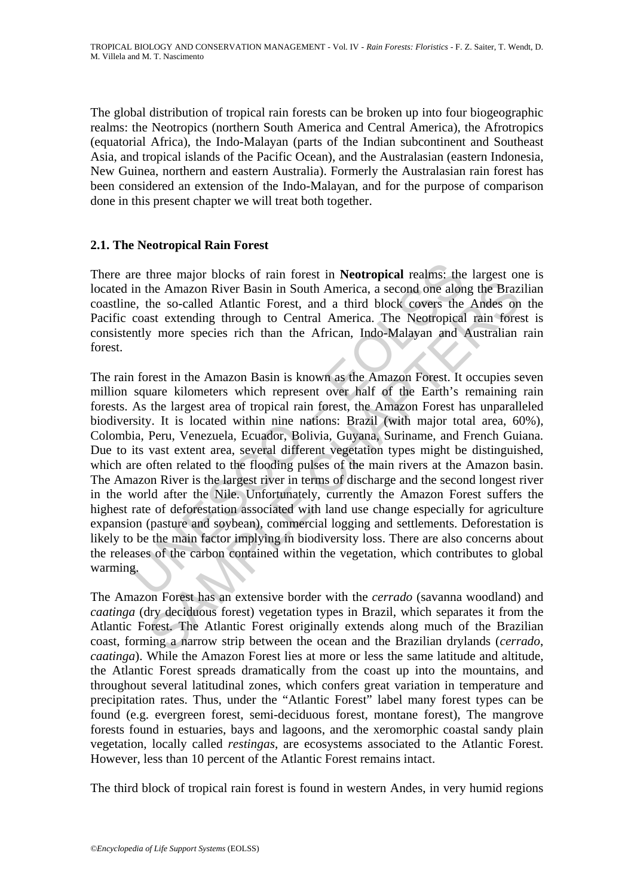The global distribution of tropical rain forests can be broken up into four biogeographic realms: the Neotropics (northern South America and Central America), the Afrotropics (equatorial Africa), the Indo-Malayan (parts of the Indian subcontinent and Southeast Asia, and tropical islands of the Pacific Ocean), and the Australasian (eastern Indonesia, New Guinea, northern and eastern Australia). Formerly the Australasian rain forest has been considered an extension of the Indo-Malayan, and for the purpose of comparison done in this present chapter we will treat both together.

#### **2.1. The Neotropical Rain Forest**

There are three major blocks of rain forest in **Neotropical** realms: the largest one is located in the Amazon River Basin in South America, a second one along the Brazilian coastline, the so-called Atlantic Forest, and a third block covers the Andes on the Pacific coast extending through to Central America. The Neotropical rain forest is consistently more species rich than the African, Indo-Malayan and Australian rain forest.

re three major blocks of rain forest in **Neotropical** realms: the<br>in the Amazon River Basin in South America, a second one alone, the so-called Atlantic Forest, and a third block covers the<br>coast extending through to Centr the Amazon River Basin in South America, a second one along the Brazi<br>the Amazon River Basin in South America, a second one along the Braz<br>the so-called Atlantic Forest, and a third block covers the Andes on<br>state extendin The rain forest in the Amazon Basin is known as the Amazon Forest. It occupies seven million square kilometers which represent over half of the Earth's remaining rain forests. As the largest area of tropical rain forest, the Amazon Forest has unparalleled biodiversity. It is located within nine nations: Brazil (with major total area, 60%), Colombia, Peru, Venezuela, Ecuador, Bolivia, Guyana, Suriname, and French Guiana. Due to its vast extent area, several different vegetation types might be distinguished, which are often related to the flooding pulses of the main rivers at the Amazon basin. The Amazon River is the largest river in terms of discharge and the second longest river in the world after the Nile. Unfortunately, currently the Amazon Forest suffers the highest rate of deforestation associated with land use change especially for agriculture expansion (pasture and soybean), commercial logging and settlements. Deforestation is likely to be the main factor implying in biodiversity loss. There are also concerns about the releases of the carbon contained within the vegetation, which contributes to global warming.

The Amazon Forest has an extensive border with the *cerrado* (savanna woodland) and *caatinga* (dry deciduous forest) vegetation types in Brazil, which separates it from the Atlantic Forest. The Atlantic Forest originally extends along much of the Brazilian coast, forming a narrow strip between the ocean and the Brazilian drylands (*cerrado*, *caatinga*). While the Amazon Forest lies at more or less the same latitude and altitude, the Atlantic Forest spreads dramatically from the coast up into the mountains, and throughout several latitudinal zones, which confers great variation in temperature and precipitation rates. Thus, under the "Atlantic Forest" label many forest types can be found (e.g. evergreen forest, semi-deciduous forest, montane forest), The mangrove forests found in estuaries, bays and lagoons, and the xeromorphic coastal sandy plain vegetation, locally called *restingas*, are ecosystems associated to the Atlantic Forest. However, less than 10 percent of the Atlantic Forest remains intact.

The third block of tropical rain forest is found in western Andes, in very humid regions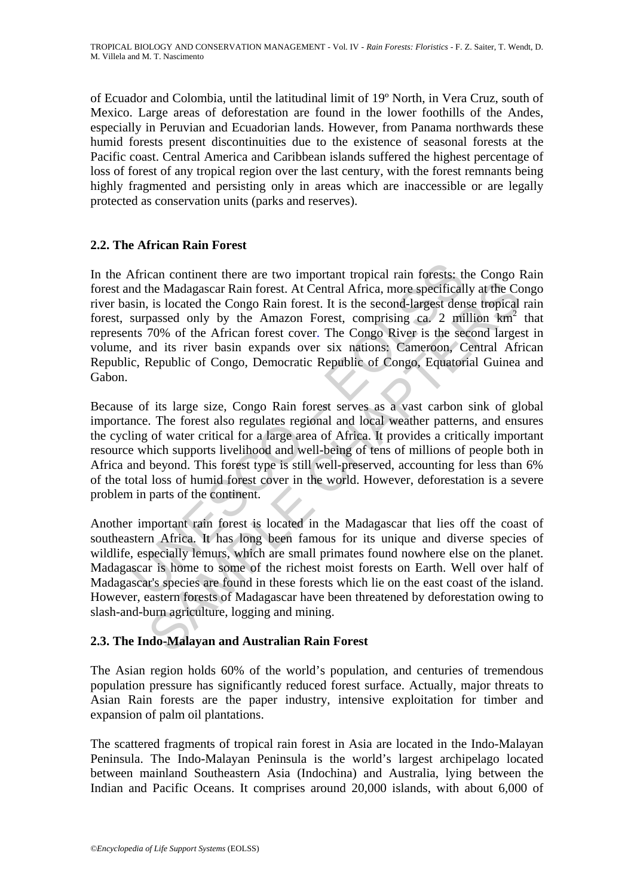of Ecuador and Colombia, until the latitudinal limit of 19º North, in Vera Cruz, south of Mexico. Large areas of deforestation are found in the lower foothills of the Andes, especially in Peruvian and Ecuadorian lands. However, from Panama northwards these humid forests present discontinuities due to the existence of seasonal forests at the Pacific coast. Central America and Caribbean islands suffered the highest percentage of loss of forest of any tropical region over the last century, with the forest remnants being highly fragmented and persisting only in areas which are inaccessible or are legally protected as conservation units (parks and reserves).

#### **2.2. The African Rain Forest**

African continent there are two important tropical rain forests: the the Madagascar Rain forest. At Central Africa, more specifical sin, is located the Congo Rain forest. It is the second-largest den surpassed only by the the Madagascar Rain forest. At Central Africa, more specifically at the Co. is located the Congo Rain forest. It is the second-largest dense tropical passed only by the Amazon Forest, comprising ca. 2 million km<sup>2</sup> massed In the African continent there are two important tropical rain forests: the Congo Rain forest and the Madagascar Rain forest. At Central Africa, more specifically at the Congo river basin, is located the Congo Rain forest. It is the second-largest dense tropical rain forest, surpassed only by the Amazon Forest, comprising ca. 2 million km<sup>2</sup> that represents 70% of the African forest cover. The Congo River is the second largest in volume, and its river basin expands over six nations: Cameroon, Central African Republic, Republic of Congo, Democratic Republic of Congo, Equatorial Guinea and Gabon.

Because of its large size, Congo Rain forest serves as a vast carbon sink of global importance. The forest also regulates regional and local weather patterns, and ensures the cycling of water critical for a large area of Africa. It provides a critically important resource which supports livelihood and well-being of tens of millions of people both in Africa and beyond. This forest type is still well-preserved, accounting for less than 6% of the total loss of humid forest cover in the world. However, deforestation is a severe problem in parts of the continent.

Another important rain forest is located in the Madagascar that lies off the coast of southeastern Africa. It has long been famous for its unique and diverse species of wildlife, especially lemurs, which are small primates found nowhere else on the planet. Madagascar is home to some of the richest moist forests on Earth. Well over half of Madagascar's species are found in these forests which lie on the east coast of the island. However, eastern forests of Madagascar have been threatened by deforestation owing to slash-and-burn agriculture, logging and mining.

#### **2.3. The Indo-Malayan and Australian Rain Forest**

The Asian region holds 60% of the world's population, and centuries of tremendous population pressure has significantly reduced forest surface. Actually, major threats to Asian Rain forests are the paper industry, intensive exploitation for timber and expansion of palm oil plantations.

The scattered fragments of tropical rain forest in Asia are located in the Indo-Malayan Peninsula. The Indo-Malayan Peninsula is the world's largest archipelago located between mainland Southeastern Asia (Indochina) and Australia, lying between the Indian and Pacific Oceans. It comprises around 20,000 islands, with about 6,000 of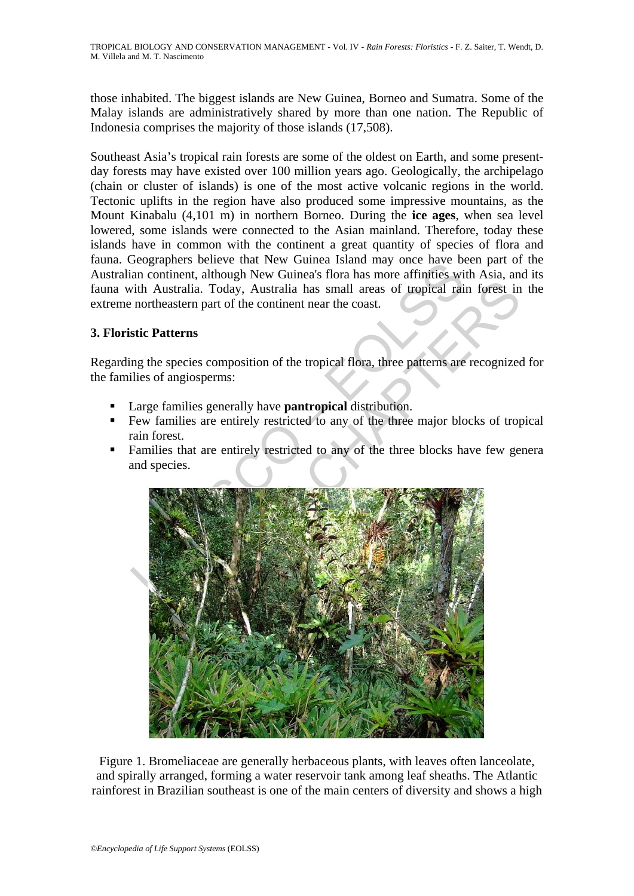those inhabited. The biggest islands are New Guinea, Borneo and Sumatra. Some of the Malay islands are administratively shared by more than one nation. The Republic of Indonesia comprises the majority of those islands (17,508).

Southeast Asia's tropical rain forests are some of the oldest on Earth, and some presentday forests may have existed over 100 million years ago. Geologically, the archipelago (chain or cluster of islands) is one of the most active volcanic regions in the world. Tectonic uplifts in the region have also produced some impressive mountains, as the Mount Kinabalu (4,101 m) in northern Borneo. During the **ice ages**, when sea level lowered, some islands were connected to the Asian mainland. Therefore, today these islands have in common with the continent a great quantity of species of flora and fauna. Geographers believe that New Guinea Island may once have been part of the Australian continent, although New Guinea's flora has more affinities with Asia, and its fauna with Australia. Today, Australia has small areas of tropical rain forest in the extreme northeastern part of the continent near the coast.

#### **3. Floristic Patterns**

Regarding the species composition of the tropical flora, three patterns are recognized for the families of angiosperms:

- Large families generally have **pantropical** distribution.
- Few families are entirely restricted to any of the three major blocks of tropical rain forest.
- **Families that are entirely restricted to any of the three blocks have few general** and species.



Figure 1. Bromeliaceae are generally herbaceous plants, with leaves often lanceolate, and spirally arranged, forming a water reservoir tank among leaf sheaths. The Atlantic rainforest in Brazilian southeast is one of the main centers of diversity and shows a high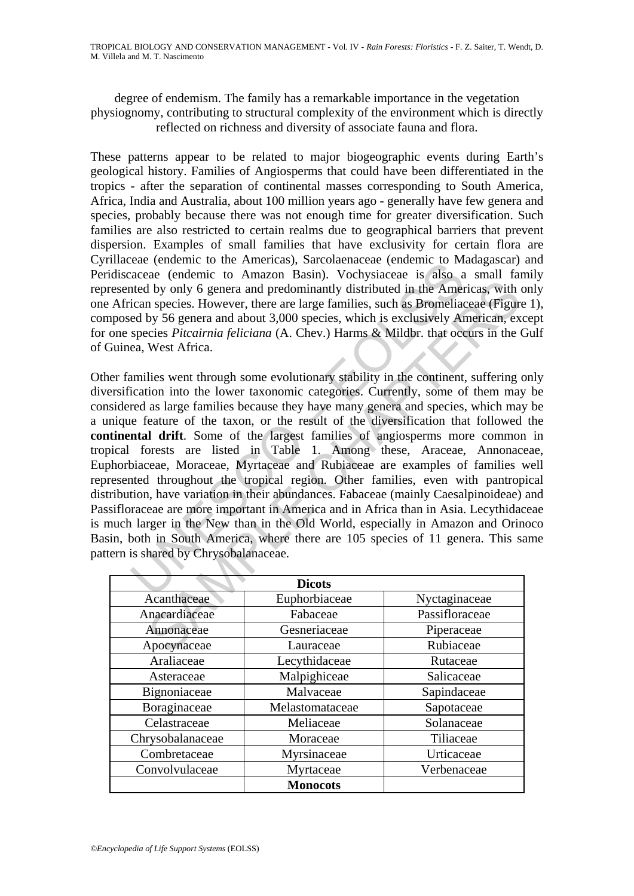degree of endemism. The family has a remarkable importance in the vegetation physiognomy, contributing to structural complexity of the environment which is directly reflected on richness and diversity of associate fauna and flora.

These patterns appear to be related to major biogeographic events during Earth's geological history. Families of Angiosperms that could have been differentiated in the tropics - after the separation of continental masses corresponding to South America, Africa, India and Australia, about 100 million years ago - generally have few genera and species, probably because there was not enough time for greater diversification. Such families are also restricted to certain realms due to geographical barriers that prevent dispersion. Examples of small families that have exclusivity for certain flora are Cyrillaceae (endemic to the Americas), Sarcolaenaceae (endemic to Madagascar) and Peridiscaceae (endemic to Amazon Basin). Vochysiaceae is also a small family represented by only 6 genera and predominantly distributed in the Americas, with only one African species. However, there are large families, such as Bromeliaceae (Figure 1), composed by 56 genera and about 3,000 species, which is exclusively American, except for one species *Pitcairnia feliciana* (A. Chev.) Harms & Mildbr. that occurs in the Gulf of Guinea, West Africa.

Exerce (endemic to the Americas), sationalacted (endemic to Maximidate (endemic to Amazon Basin). Vochysiaceae is also a<br>tacteae (endemic to Amazon Basin). Vochysiaceae is also a<br>tied by only 6 genera and about 3,000 speci In the subsect of the subsection of the Subsection<br>Anomage and Divid Subsection and predominantly distributed in the Americas, with a<br>species. However, there are large families, such as Bromeliaceae (Figure<br>by 56 genera a Other families went through some evolutionary stability in the continent, suffering only diversification into the lower taxonomic categories. Currently, some of them may be considered as large families because they have many genera and species, which may be a unique feature of the taxon, or the result of the diversification that followed the **continental drift**. Some of the largest families of angiosperms more common in tropical forests are listed in Table 1. Among these, Araceae, Annonaceae, Euphorbiaceae, Moraceae, Myrtaceae and Rubiaceae are examples of families well represented throughout the tropical region. Other families, even with pantropical distribution, have variation in their abundances. Fabaceae (mainly Caesalpinoideae) and Passifloraceae are more important in America and in Africa than in Asia. Lecythidaceae is much larger in the New than in the Old World, especially in Amazon and Orinoco Basin, both in South America, where there are 105 species of 11 genera. This same pattern is shared by Chrysobalanaceae.

| <b>Dicots</b>    |                 |                |
|------------------|-----------------|----------------|
| Acanthaceae      | Euphorbiaceae   | Nyctaginaceae  |
| Anacardiaceae    | Fabaceae        | Passifloraceae |
| Annonaceae       | Gesneriaceae    | Piperaceae     |
| Apocynaceae      | Lauraceae       | Rubiaceae      |
| Araliaceae       | Lecythidaceae   | Rutaceae       |
| Asteraceae       | Malpighiceae    | Salicaceae     |
| Bignoniaceae     | Malvaceae       | Sapindaceae    |
| Boraginaceae     | Melastomataceae | Sapotaceae     |
| Celastraceae     | Meliaceae       | Solanaceae     |
| Chrysobalanaceae | Moraceae        | Tiliaceae      |
| Combretaceae     | Myrsinaceae     | Urticaceae     |
| Convolvulaceae   | Myrtaceae       | Verbenaceae    |
|                  | <b>Monocots</b> |                |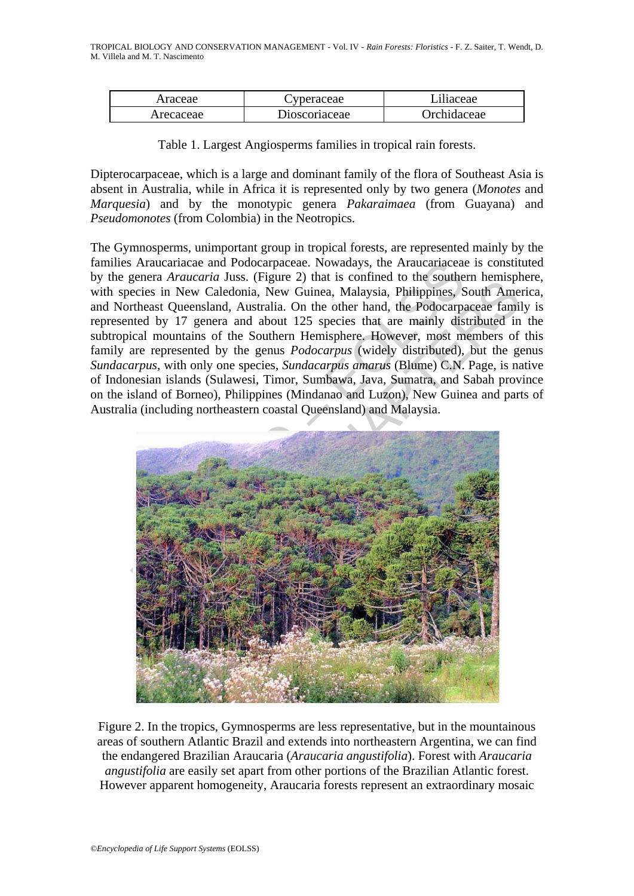| Araceae   | <i>v</i> peraceae | Liliaceae          |
|-----------|-------------------|--------------------|
| Arecaceae | Dioscoriaceae     | <b>Orchidaceae</b> |

Table 1. Largest Angiosperms families in tropical rain forests.

Dipterocarpaceae, which is a large and dominant family of the flora of Southeast Asia is absent in Australia, while in Africa it is represented only by two genera (*Monotes* and *Marquesia*) and by the monotypic genera *Pakaraimaea* (from Guayana) and *Pseudomonotes* (from Colombia) in the Neotropics.

The Gymnosperms, unimportant group in tropical forests, are represented mainly by the families Araucariacae and Podocarpaceae. Nowadays, the Araucariaceae is constituted by the genera *Araucaria* Juss. (Figure 2) that is confined to the southern hemisphere, with species in New Caledonia, New Guinea, Malaysia, Philippines, South America, and Northeast Queensland, Australia. On the other hand, the Podocarpaceae family is represented by 17 genera and about 125 species that are mainly distributed in the subtropical mountains of the Southern Hemisphere. However, most members of this family are represented by the genus *Podocarpus* (widely distributed), but the genus *Sundacarpus*, with only one species, *Sundacarpus amarus* (Blume) C.N. Page, is native of Indonesian islands (Sulawesi, Timor, Sumbawa, Java, Sumatra, and Sabah province on the island of Borneo), Philippines (Mindanao and Luzon), New Guinea and parts of Australia (including northeastern coastal Queensland) and Malaysia.



Figure 2. In the tropics, Gymnosperms are less representative, but in the mountainous areas of southern Atlantic Brazil and extends into northeastern Argentina, we can find the endangered Brazilian Araucaria (*Araucaria angustifolia*). Forest with *Araucaria angustifolia* are easily set apart from other portions of the Brazilian Atlantic forest. However apparent homogeneity, Araucaria forests represent an extraordinary mosaic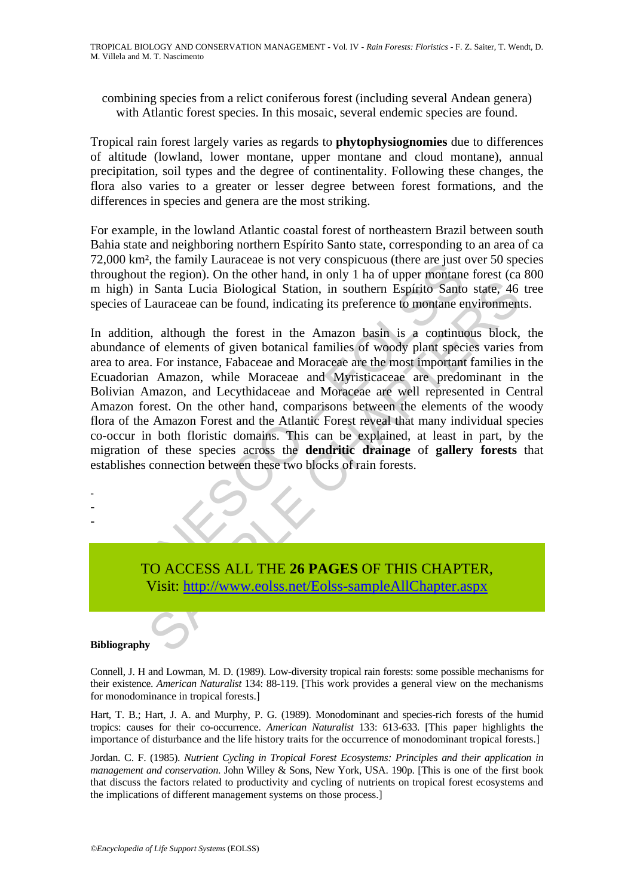combining species from a relict coniferous forest (including several Andean genera) with Atlantic forest species. In this mosaic, several endemic species are found.

Tropical rain forest largely varies as regards to **phytophysiognomies** due to differences of altitude (lowland, lower montane, upper montane and cloud montane), annual precipitation, soil types and the degree of continentality. Following these changes, the flora also varies to a greater or lesser degree between forest formations, and the differences in species and genera are the most striking.

For example, in the lowland Atlantic coastal forest of northeastern Brazil between south Bahia state and neighboring northern Espírito Santo state, corresponding to an area of ca 72,000 km², the family Lauraceae is not very conspicuous (there are just over 50 species throughout the region). On the other hand, in only 1 ha of upper montane forest (ca 800 m high) in Santa Lucia Biological Station, in southern Espírito Santo state, 46 tree species of Lauraceae can be found, indicating its preference to montane environments.

Example Landaceae is not very consistence is lost to the activity of the energion. On the other hand, in only 1 ha of upper montaneo in the Amazon basin is a continue of Lauraceae can be found, indicating its preference to Santa Lucia Biological Station, in southern Espírito Santo state, 46<br>Lauraceae can be found, indicating its preference to montane environment<br>altancaeae can be found, indicating its preference to montane environment<br>n, alt In addition, although the forest in the Amazon basin is a continuous block, the abundance of elements of given botanical families of woody plant species varies from area to area. For instance, Fabaceae and Moraceae are the most important families in the Ecuadorian Amazon, while Moraceae and Myristicaceae are predominant in the Bolivian Amazon, and Lecythidaceae and Moraceae are well represented in Central Amazon forest. On the other hand, comparisons between the elements of the woody flora of the Amazon Forest and the Atlantic Forest reveal that many individual species co-occur in both floristic domains. This can be explained, at least in part, by the migration of these species across the **dendritic drainage** of **gallery forests** that establishes connection between these two blocks of rain forests.

- - -

> TO ACCESS ALL THE **26 PAGES** OF THIS CHAPTER, Visit: http://www.eolss.net/Eolss-sampleAllChapter.aspx

#### **Bibliography**

Connell, J. H and Lowman, M. D. (1989). Low-diversity tropical rain forests: some possible mechanisms for their existence. *American Naturalist* 134: 88-119. [This work provides a general view on the mechanisms for monodominance in tropical forests.]

Hart, T. B.; Hart, J. A. and Murphy, P. G. (1989). Monodominant and species-rich forests of the humid tropics: causes for their co-occurrence. *American Naturalist* 133: 613-633. [This paper highlights the importance of disturbance and the life history traits for the occurrence of monodominant tropical forests.]

Jordan. C. F. (1985). *Nutrient Cycling in Tropical Forest Ecosystems: Principles and their application in management and conservation*. John Willey & Sons, New York, USA. 190p. [This is one of the first book that discuss the factors related to productivity and cycling of nutrients on tropical forest ecosystems and the implications of different management systems on those process.]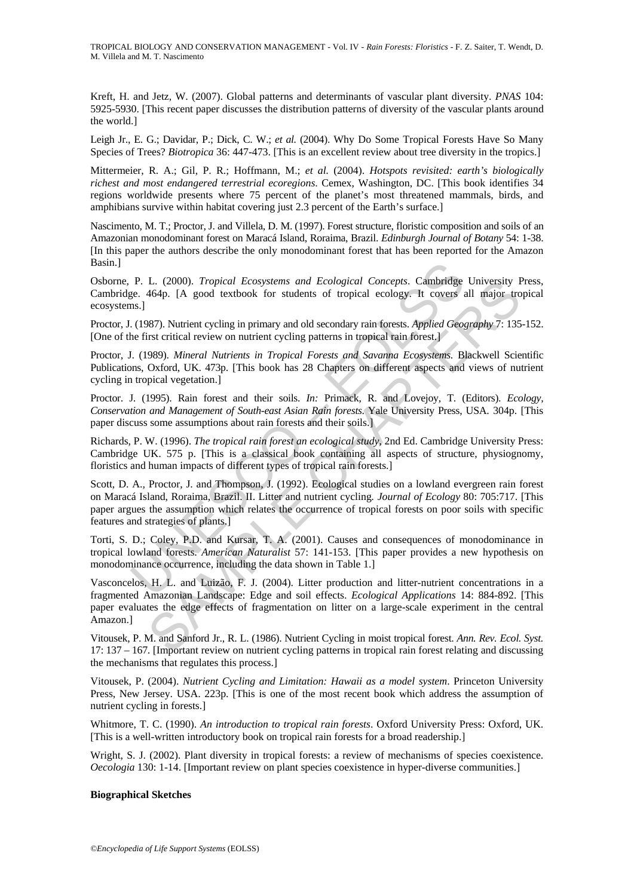TROPICAL BIOLOGY AND CONSERVATION MANAGEMENT - Vol. IV - *Rain Forests: Floristics* - F. Z. Saiter, T. Wendt, D. M. Villela and M. T. Nascimento

Kreft, H. and Jetz, W. (2007). Global patterns and determinants of vascular plant diversity. *PNAS* 104: 5925-5930. [This recent paper discusses the distribution patterns of diversity of the vascular plants around the world.]

Leigh Jr., E. G.; Davidar, P.; Dick, C. W.; *et al.* (2004). Why Do Some Tropical Forests Have So Many Species of Trees? *Biotropica* 36: 447-473. [This is an excellent review about tree diversity in the tropics.]

Mittermeier, R. A.; Gil, P. R.; Hoffmann, M.; *et al.* (2004). *Hotspots revisited: earth's biologically richest and most endangered terrestrial ecoregions*. Cemex, Washington, DC. [This book identifies 34 regions worldwide presents where 75 percent of the planet's most threatened mammals, birds, and amphibians survive within habitat covering just 2.3 percent of the Earth's surface.]

Nascimento, M. T.; Proctor, J. and Villela, D. M. (1997). Forest structure, floristic composition and soils of an Amazonian monodominant forest on Maracá Island, Roraima, Brazil. *Edinburgh Journal of Botany* 54: 1-38. [In this paper the authors describe the only monodominant forest that has been reported for the Amazon Basin.]

Osborne, P. L. (2000). *Tropical Ecosystems and Ecological Concepts*. Cambridge University Press, Cambridge. 464p. [A good textbook for students of tropical ecology. It covers all major tropical ecosystems.]

Proctor, J. (1987). Nutrient cycling in primary and old secondary rain forests. *Applied Geography* 7: 135-152. [One of the first critical review on nutrient cycling patterns in tropical rain forest.]

Proctor, J. (1989). *Mineral Nutrients in Tropical Forests and Savanna Ecosystems*. Blackwell Scientific Publications, Oxford, UK. 473p. [This book has 28 Chapters on different aspects and views of nutrient cycling in tropical vegetation.]

Proctor. J. (1995). Rain forest and their soils. *In:* Primack, R. and Lovejoy, T. (Editors). *Ecology, Conservation and Management of South-east Asian Rain forests*. Yale University Press, USA. 304p. [This paper discuss some assumptions about rain forests and their soils.]

Richards, P. W. (1996). *The tropical rain forest an ecological study*, 2nd Ed. Cambridge University Press: Cambridge UK. 575 p. [This is a classical book containing all aspects of structure, physiognomy, floristics and human impacts of different types of tropical rain forests.]

P. L. (2000). *Tropical Ecosystems and Ecological Concepts*. Cambridge<br>ge. 464p. [A good textbook for students of tropical ecology. It covers and<br>sn.]<br>(1987). Nutrient cycling in primary and old secondary rain forests. App L. (2000). *Tropical Ecosystems and Ecological Concepts*. Cambridge University F464p. [A good textbook for students of tropical ecology. It covers all major tro<br>
844p. [A good textbook for students of tropical ecology. It Scott, D. A., Proctor, J. and Thompson, J. (1992). Ecological studies on a lowland evergreen rain forest on Maracá Island, Roraima, Brazil. II. Litter and nutrient cycling*. Journal of Ecology* 80: 705:717. [This paper argues the assumption which relates the occurrence of tropical forests on poor soils with specific features and strategies of plants.]

Torti, S. D.; Coley, P.D. and Kursar, T. A. (2001). Causes and consequences of monodominance in tropical lowland forests. *American Naturalist* 57: 141-153. [This paper provides a new hypothesis on monodominance occurrence, including the data shown in Table 1.]

Vasconcelos, H. L. and Luizão, F. J. (2004). Litter production and litter-nutrient concentrations in a fragmented Amazonian Landscape: Edge and soil effects. *Ecological Applications* 14: 884-892. [This paper evaluates the edge effects of fragmentation on litter on a large-scale experiment in the central Amazon.]

Vitousek, P. M. and Sanford Jr., R. L. (1986). Nutrient Cycling in moist tropical forest. *Ann. Rev. Ecol. Syst.* 17: 137 – 167. [Important review on nutrient cycling patterns in tropical rain forest relating and discussing the mechanisms that regulates this process.]

Vitousek, P. (2004). *Nutrient Cycling and Limitation: Hawaii as a model system*. Princeton University Press, New Jersey. USA. 223p. [This is one of the most recent book which address the assumption of nutrient cycling in forests.]

Whitmore, T. C. (1990). *An introduction to tropical rain forests*. Oxford University Press: Oxford, UK. [This is a well-written introductory book on tropical rain forests for a broad readership.]

Wright, S. J. (2002). Plant diversity in tropical forests: a review of mechanisms of species coexistence. *Oecologia* 130: 1-14. [Important review on plant species coexistence in hyper-diverse communities.]

#### **Biographical Sketches**